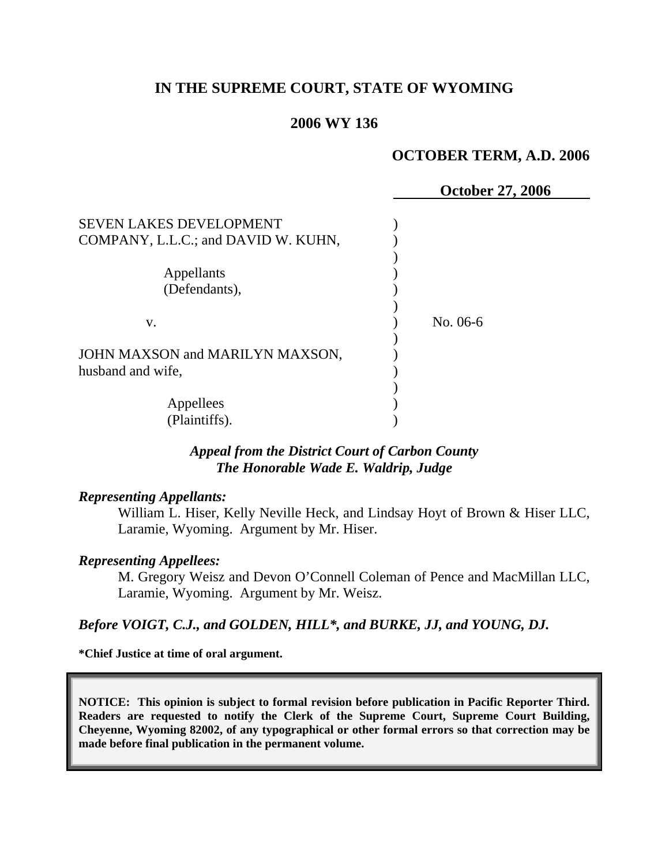## **IN THE SUPREME COURT, STATE OF WYOMING**

### **2006 WY 136**

#### **OCTOBER TERM, A.D. 2006**

|                                     | <b>October 27, 2006</b> |
|-------------------------------------|-------------------------|
| <b>SEVEN LAKES DEVELOPMENT</b>      |                         |
| COMPANY, L.L.C.; and DAVID W. KUHN, |                         |
|                                     |                         |
| Appellants                          |                         |
| (Defendants),                       |                         |
|                                     |                         |
| V.                                  | No. 06-6                |
|                                     |                         |
| JOHN MAXSON and MARILYN MAXSON,     |                         |
| husband and wife,                   |                         |
|                                     |                         |
| Appellees                           |                         |
| (Plaintiffs).                       |                         |

## *Appeal from the District Court of Carbon County The Honorable Wade E. Waldrip, Judge*

#### *Representing Appellants:*

William L. Hiser, Kelly Neville Heck, and Lindsay Hoyt of Brown & Hiser LLC, Laramie, Wyoming. Argument by Mr. Hiser.

#### *Representing Appellees:*

M. Gregory Weisz and Devon O'Connell Coleman of Pence and MacMillan LLC, Laramie, Wyoming. Argument by Mr. Weisz.

#### *Before VOIGT, C.J., and GOLDEN, HILL\*, and BURKE, JJ, and YOUNG, DJ.*

**\*Chief Justice at time of oral argument.** 

**NOTICE: This opinion is subject to formal revision before publication in Pacific Reporter Third. Readers are requested to notify the Clerk of the Supreme Court, Supreme Court Building, Cheyenne, Wyoming 82002, of any typographical or other formal errors so that correction may be made before final publication in the permanent volume.**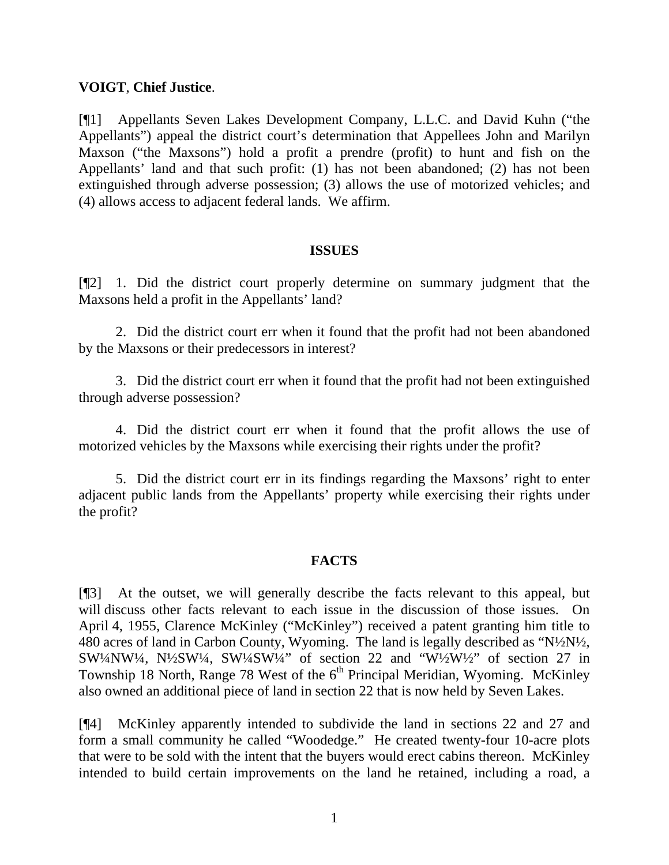## **VOIGT**, **Chief Justice**.

[¶1] Appellants Seven Lakes Development Company, L.L.C. and David Kuhn ("the Appellants") appeal the district court's determination that Appellees John and Marilyn Maxson ("the Maxsons") hold a profit a prendre (profit) to hunt and fish on the Appellants' land and that such profit: (1) has not been abandoned; (2) has not been extinguished through adverse possession; (3) allows the use of motorized vehicles; and (4) allows access to adjacent federal lands. We affirm.

### **ISSUES**

[¶2] 1. Did the district court properly determine on summary judgment that the Maxsons held a profit in the Appellants' land?

 2. Did the district court err when it found that the profit had not been abandoned by the Maxsons or their predecessors in interest?

 3. Did the district court err when it found that the profit had not been extinguished through adverse possession?

 4. Did the district court err when it found that the profit allows the use of motorized vehicles by the Maxsons while exercising their rights under the profit?

 5. Did the district court err in its findings regarding the Maxsons' right to enter adjacent public lands from the Appellants' property while exercising their rights under the profit?

## **FACTS**

[¶3] At the outset, we will generally describe the facts relevant to this appeal, but will discuss other facts relevant to each issue in the discussion of those issues. On April 4, 1955, Clarence McKinley ("McKinley") received a patent granting him title to 480 acres of land in Carbon County, Wyoming. The land is legally described as "N½N½, SW¼NW¼, N½SW¼, SW¼SW¼" of section 22 and "W½W½" of section 27 in Township 18 North, Range 78 West of the  $6<sup>th</sup>$  Principal Meridian, Wyoming. McKinley also owned an additional piece of land in section 22 that is now held by Seven Lakes.

[¶4] McKinley apparently intended to subdivide the land in sections 22 and 27 and form a small community he called "Woodedge." He created twenty-four 10-acre plots that were to be sold with the intent that the buyers would erect cabins thereon. McKinley intended to build certain improvements on the land he retained, including a road, a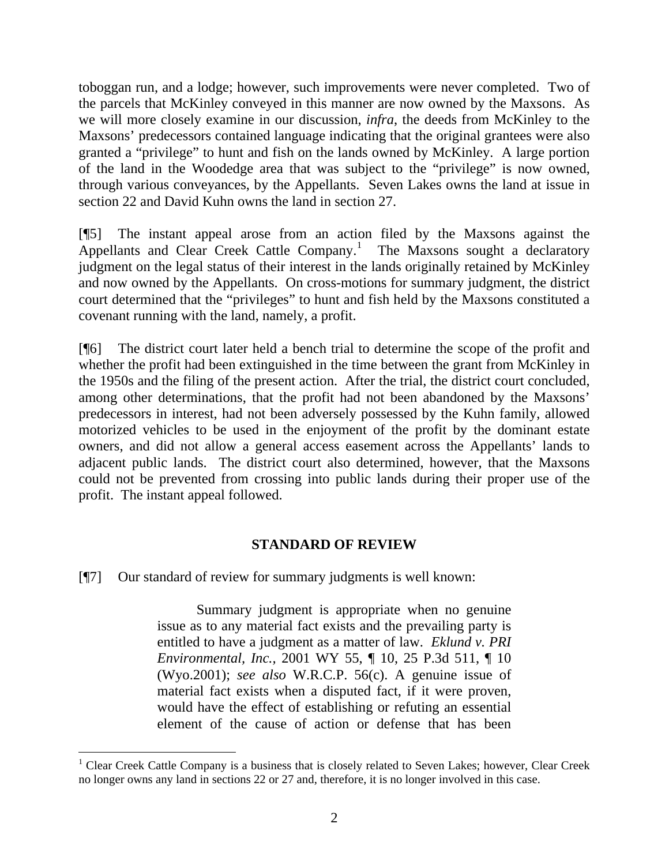toboggan run, and a lodge; however, such improvements were never completed. Two of the parcels that McKinley conveyed in this manner are now owned by the Maxsons. As we will more closely examine in our discussion, *infra*, the deeds from McKinley to the Maxsons' predecessors contained language indicating that the original grantees were also granted a "privilege" to hunt and fish on the lands owned by McKinley. A large portion of the land in the Woodedge area that was subject to the "privilege" is now owned, through various conveyances, by the Appellants. Seven Lakes owns the land at issue in section 22 and David Kuhn owns the land in section 27.

[¶5] The instant appeal arose from an action filed by the Maxsons against the Appellants and Clear Creek Cattle Company.<sup>[1](#page-2-0)</sup> The Maxsons sought a declaratory judgment on the legal status of their interest in the lands originally retained by McKinley and now owned by the Appellants. On cross-motions for summary judgment, the district court determined that the "privileges" to hunt and fish held by the Maxsons constituted a covenant running with the land, namely, a profit.

[¶6] The district court later held a bench trial to determine the scope of the profit and whether the profit had been extinguished in the time between the grant from McKinley in the 1950s and the filing of the present action. After the trial, the district court concluded, among other determinations, that the profit had not been abandoned by the Maxsons' predecessors in interest, had not been adversely possessed by the Kuhn family, allowed motorized vehicles to be used in the enjoyment of the profit by the dominant estate owners, and did not allow a general access easement across the Appellants' lands to adjacent public lands. The district court also determined, however, that the Maxsons could not be prevented from crossing into public lands during their proper use of the profit. The instant appeal followed.

### **STANDARD OF REVIEW**

[¶7] Our standard of review for summary judgments is well known:

 $\overline{a}$ 

 Summary judgment is appropriate when no genuine issue as to any material fact exists and the prevailing party is entitled to have a judgment as a matter of law. *Eklund v. PRI Environmental, Inc.,* 2001 WY 55, ¶ 10, 25 P.3d 511, ¶ 10 (Wyo.2001); *see also* W.R.C.P. 56(c). A genuine issue of material fact exists when a disputed fact, if it were proven, would have the effect of establishing or refuting an essential element of the cause of action or defense that has been

<span id="page-2-0"></span><sup>&</sup>lt;sup>1</sup> Clear Creek Cattle Company is a business that is closely related to Seven Lakes; however, Clear Creek no longer owns any land in sections 22 or 27 and, therefore, it is no longer involved in this case.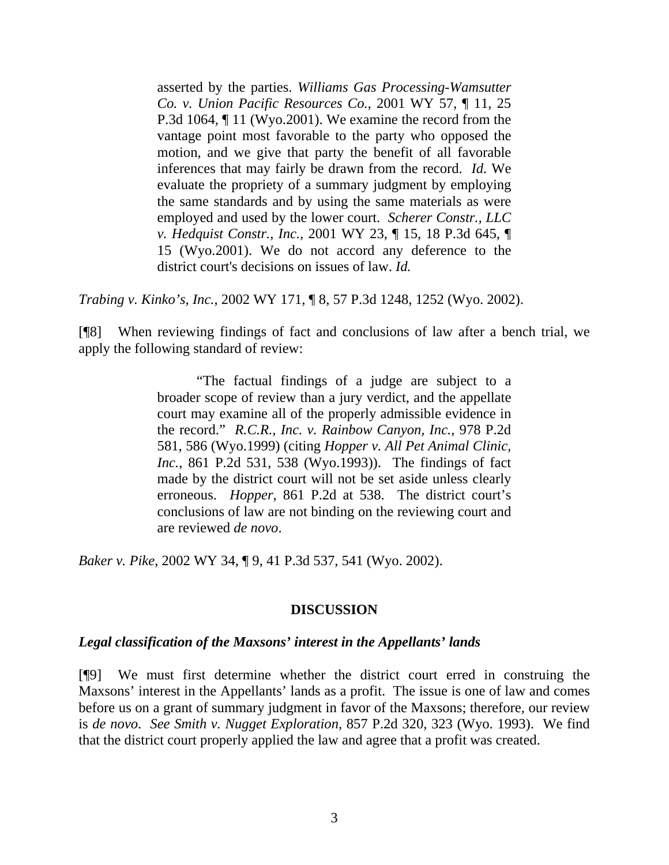asserted by the parties. *Williams Gas Processing-Wamsutter Co. v. Union Pacific Resources Co.,* 2001 WY 57, ¶ 11, 25 P.3d 1064, ¶ 11 (Wyo.2001). We examine the record from the vantage point most favorable to the party who opposed the motion, and we give that party the benefit of all favorable inferences that may fairly be drawn from the record. *Id.* We evaluate the propriety of a summary judgment by employing the same standards and by using the same materials as were employed and used by the lower court. *Scherer Constr., LLC v. Hedquist Constr., Inc.,* 2001 WY 23, ¶ 15, 18 P.3d 645, ¶ 15 (Wyo.2001). We do not accord any deference to the district court's decisions on issues of law. *Id.*

*Trabing v. Kinko's, Inc.*, 2002 WY 171, ¶ 8, 57 P.3d 1248, 1252 (Wyo. 2002).

[¶8] When reviewing findings of fact and conclusions of law after a bench trial, we apply the following standard of review:

> "The factual findings of a judge are subject to a broader scope of review than a jury verdict, and the appellate court may examine all of the properly admissible evidence in the record." *R.C.R., Inc. v. Rainbow Canyon, Inc.*, 978 P.2d 581, 586 (Wyo.1999) (citing *Hopper v. All Pet Animal Clinic, Inc.*, 861 P.2d 531, 538 (Wyo.1993)). The findings of fact made by the district court will not be set aside unless clearly erroneous. *Hopper*, 861 P.2d at 538. The district court's conclusions of law are not binding on the reviewing court and are reviewed *de novo*.

*Baker v. Pike*, 2002 WY 34, ¶ 9, 41 P.3d 537, 541 (Wyo. 2002).

### **DISCUSSION**

### *Legal classification of the Maxsons' interest in the Appellants' lands*

[¶9] We must first determine whether the district court erred in construing the Maxsons' interest in the Appellants' lands as a profit. The issue is one of law and comes before us on a grant of summary judgment in favor of the Maxsons; therefore, our review is *de novo*. *See Smith v. Nugget Exploration,* 857 P.2d 320, 323 (Wyo. 1993). We find that the district court properly applied the law and agree that a profit was created.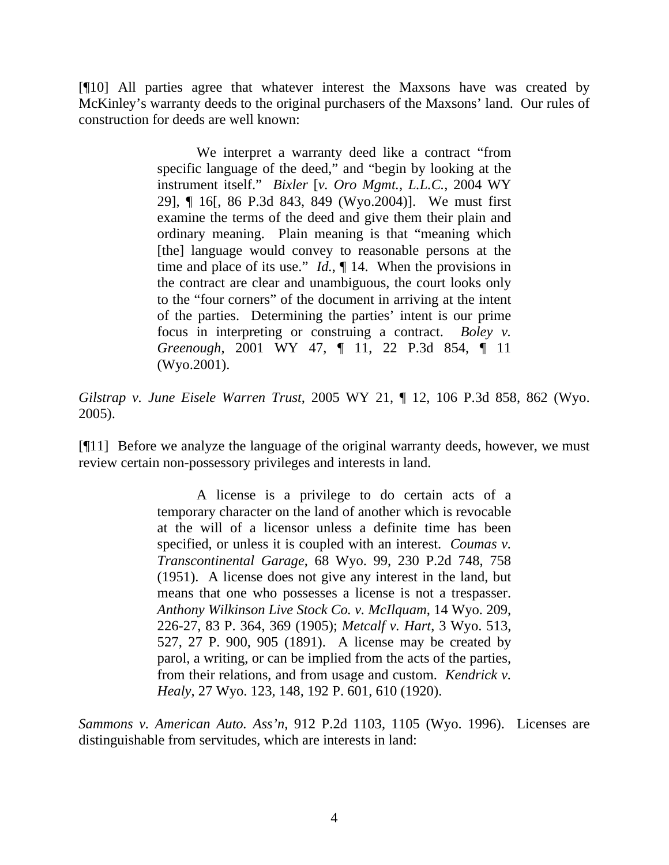[¶10] All parties agree that whatever interest the Maxsons have was created by McKinley's warranty deeds to the original purchasers of the Maxsons' land. Our rules of construction for deeds are well known:

> We interpret a warranty deed like a contract "from specific language of the deed," and "begin by looking at the instrument itself." *Bixler* [*v. Oro Mgmt., L.L.C.*, 2004 WY 29], ¶ 16[, 86 P.3d 843, 849 (Wyo.2004)]. We must first examine the terms of the deed and give them their plain and ordinary meaning. Plain meaning is that "meaning which [the] language would convey to reasonable persons at the time and place of its use." *Id.*, ¶ 14. When the provisions in the contract are clear and unambiguous, the court looks only to the "four corners" of the document in arriving at the intent of the parties. Determining the parties' intent is our prime focus in interpreting or construing a contract. *Boley v. Greenough*, 2001 WY 47, ¶ 11, 22 P.3d 854, ¶ 11 (Wyo.2001).

*Gilstrap v. June Eisele Warren Trust*, 2005 WY 21, ¶ 12, 106 P.3d 858, 862 (Wyo. 2005).

[¶11] Before we analyze the language of the original warranty deeds, however, we must review certain non-possessory privileges and interests in land.

> A license is a privilege to do certain acts of a temporary character on the land of another which is revocable at the will of a licensor unless a definite time has been specified, or unless it is coupled with an interest. *Coumas v. Transcontinental Garage*, 68 Wyo. 99, 230 P.2d 748, 758 (1951). A license does not give any interest in the land, but means that one who possesses a license is not a trespasser. *Anthony Wilkinson Live Stock Co. v. McIlquam*, 14 Wyo. 209, 226-27, 83 P. 364, 369 (1905); *Metcalf v. Hart*, 3 Wyo. 513, 527, 27 P. 900, 905 (1891). A license may be created by parol, a writing, or can be implied from the acts of the parties, from their relations, and from usage and custom. *Kendrick v. Healy*, 27 Wyo. 123, 148, 192 P. 601, 610 (1920).

*Sammons v. American Auto. Ass'n*, 912 P.2d 1103, 1105 (Wyo. 1996). Licenses are distinguishable from servitudes, which are interests in land: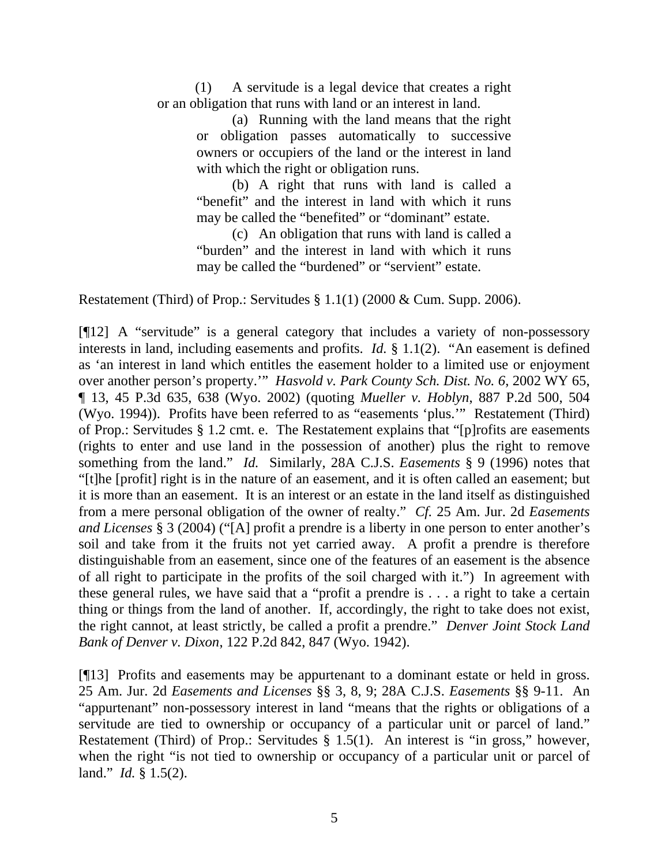(1) A servitude is a legal device that creates a right or an obligation that runs with land or an interest in land.

> (a) Running with the land means that the right or obligation passes automatically to successive owners or occupiers of the land or the interest in land with which the right or obligation runs.

> (b) A right that runs with land is called a "benefit" and the interest in land with which it runs may be called the "benefited" or "dominant" estate.

> (c) An obligation that runs with land is called a "burden" and the interest in land with which it runs may be called the "burdened" or "servient" estate.

Restatement (Third) of Prop.: Servitudes § 1.1(1) (2000 & Cum. Supp. 2006).

[¶12] A "servitude" is a general category that includes a variety of non-possessory interests in land, including easements and profits. *Id.* § 1.1(2). "An easement is defined as 'an interest in land which entitles the easement holder to a limited use or enjoyment over another person's property.'" *Hasvold v. Park County Sch. Dist. No. 6*, 2002 WY 65, ¶ 13, 45 P.3d 635, 638 (Wyo. 2002) (quoting *Mueller v. Hoblyn*, 887 P.2d 500, 504 (Wyo. 1994)). Profits have been referred to as "easements 'plus.'" Restatement (Third) of Prop.: Servitudes § 1.2 cmt. e. The Restatement explains that "[p]rofits are easements (rights to enter and use land in the possession of another) plus the right to remove something from the land." *Id.* Similarly, 28A C.J.S. *Easements* § 9 (1996) notes that "[t]he [profit] right is in the nature of an easement, and it is often called an easement; but it is more than an easement. It is an interest or an estate in the land itself as distinguished from a mere personal obligation of the owner of realty." *Cf.* 25 Am. Jur. 2d *Easements and Licenses* § 3 (2004) ("[A] profit a prendre is a liberty in one person to enter another's soil and take from it the fruits not yet carried away. A profit a prendre is therefore distinguishable from an easement, since one of the features of an easement is the absence of all right to participate in the profits of the soil charged with it.") In agreement with these general rules, we have said that a "profit a prendre is . . . a right to take a certain thing or things from the land of another. If, accordingly, the right to take does not exist, the right cannot, at least strictly, be called a profit a prendre." *Denver Joint Stock Land Bank of Denver v. Dixon*, 122 P.2d 842, 847 (Wyo. 1942).

[¶13] Profits and easements may be appurtenant to a dominant estate or held in gross. 25 Am. Jur. 2d *Easements and Licenses* §§ 3, 8, 9; 28A C.J.S. *Easements* §§ 9-11. An "appurtenant" non-possessory interest in land "means that the rights or obligations of a servitude are tied to ownership or occupancy of a particular unit or parcel of land." Restatement (Third) of Prop.: Servitudes § 1.5(1). An interest is "in gross," however, when the right "is not tied to ownership or occupancy of a particular unit or parcel of land." *Id.* § 1.5(2).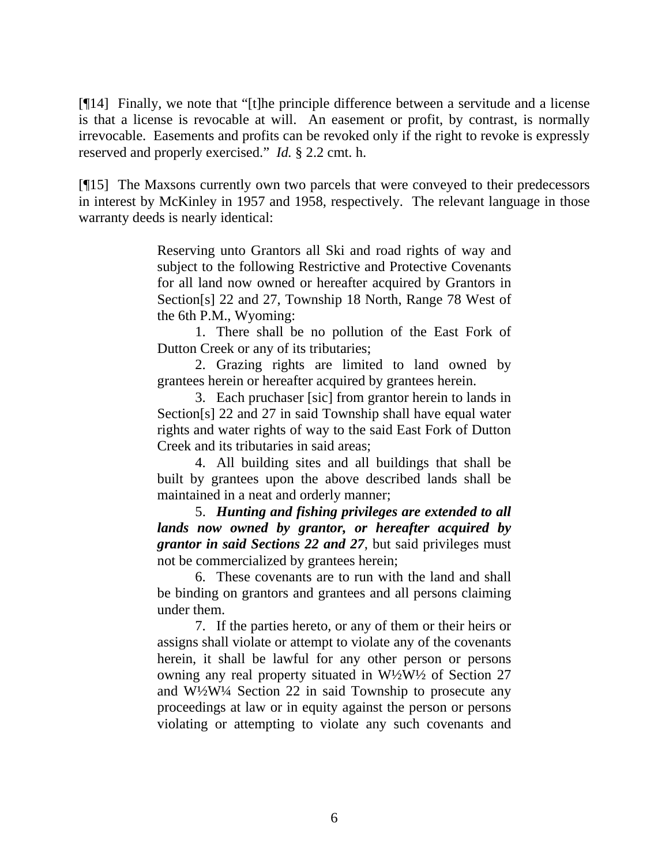[¶14] Finally, we note that "[t]he principle difference between a servitude and a license is that a license is revocable at will. An easement or profit, by contrast, is normally irrevocable. Easements and profits can be revoked only if the right to revoke is expressly reserved and properly exercised." *Id.* § 2.2 cmt. h.

[¶15] The Maxsons currently own two parcels that were conveyed to their predecessors in interest by McKinley in 1957 and 1958, respectively. The relevant language in those warranty deeds is nearly identical:

> Reserving unto Grantors all Ski and road rights of way and subject to the following Restrictive and Protective Covenants for all land now owned or hereafter acquired by Grantors in Section[s] 22 and 27, Township 18 North, Range 78 West of the 6th P.M., Wyoming:

> 1. There shall be no pollution of the East Fork of Dutton Creek or any of its tributaries;

> 2. Grazing rights are limited to land owned by grantees herein or hereafter acquired by grantees herein.

> 3. Each pruchaser [sic] from grantor herein to lands in Section[s] 22 and 27 in said Township shall have equal water rights and water rights of way to the said East Fork of Dutton Creek and its tributaries in said areas;

> 4. All building sites and all buildings that shall be built by grantees upon the above described lands shall be maintained in a neat and orderly manner;

> 5. *Hunting and fishing privileges are extended to all lands now owned by grantor, or hereafter acquired by grantor in said Sections 22 and 27*, but said privileges must not be commercialized by grantees herein;

> 6. These covenants are to run with the land and shall be binding on grantors and grantees and all persons claiming under them.

> 7. If the parties hereto, or any of them or their heirs or assigns shall violate or attempt to violate any of the covenants herein, it shall be lawful for any other person or persons owning any real property situated in W½W½ of Section 27 and W½W¼ Section 22 in said Township to prosecute any proceedings at law or in equity against the person or persons violating or attempting to violate any such covenants and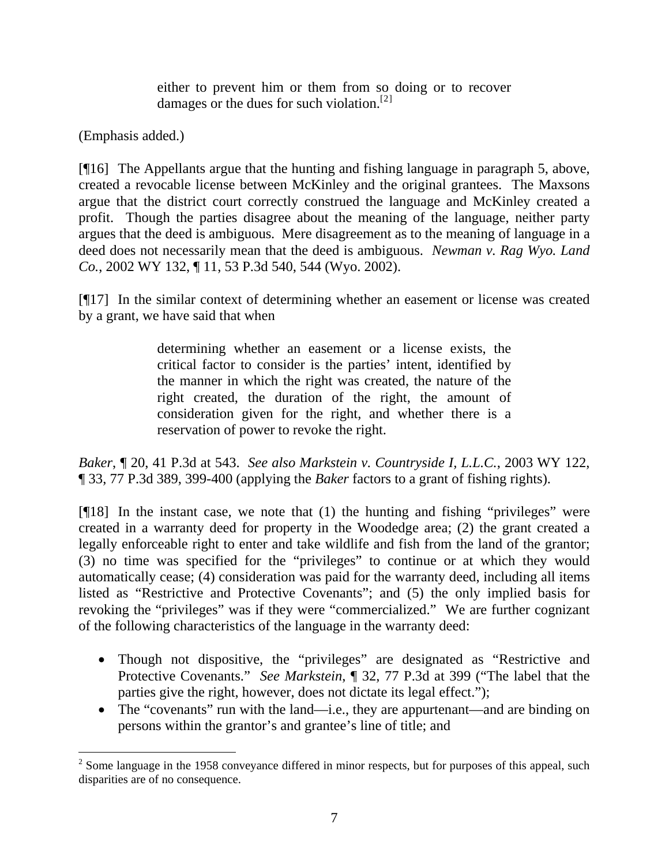either to prevent him or them from so doing or to recover damages or the dues for such violation.<sup>[2]</sup>

(Emphasis added.)

[¶16] The Appellants argue that the hunting and fishing language in paragraph 5, above, created a revocable license between McKinley and the original grantees. The Maxsons argue that the district court correctly construed the language and McKinley created a profit. Though the parties disagree about the meaning of the language, neither party argues that the deed is ambiguous. Mere disagreement as to the meaning of language in a deed does not necessarily mean that the deed is ambiguous. *Newman v. Rag Wyo. Land Co.*, 2002 WY 132, ¶ 11, 53 P.3d 540, 544 (Wyo. 2002).

[¶17] In the similar context of determining whether an easement or license was created by a grant, we have said that when

> determining whether an easement or a license exists, the critical factor to consider is the parties' intent, identified by the manner in which the right was created, the nature of the right created, the duration of the right, the amount of consideration given for the right, and whether there is a reservation of power to revoke the right.

*Baker*, ¶ 20, 41 P.3d at 543. *See also Markstein v. Countryside I, L.L.C.*, 2003 WY 122, ¶ 33, 77 P.3d 389, 399-400 (applying the *Baker* factors to a grant of fishing rights).

 $[918]$  In the instant case, we note that (1) the hunting and fishing "privileges" were created in a warranty deed for property in the Woodedge area; (2) the grant created a legally enforceable right to enter and take wildlife and fish from the land of the grantor; (3) no time was specified for the "privileges" to continue or at which they would automatically cease; (4) consideration was paid for the warranty deed, including all items listed as "Restrictive and Protective Covenants"; and (5) the only implied basis for revoking the "privileges" was if they were "commercialized." We are further cognizant of the following characteristics of the language in the warranty deed:

- Though not dispositive, the "privileges" are designated as "Restrictive and Protective Covenants." *See Markstein*, ¶ 32, 77 P.3d at 399 ("The label that the parties give the right, however, does not dictate its legal effect.");
- The "covenants" run with the land—i.e., they are appurtenant—and are binding on persons within the grantor's and grantee's line of title; and

<span id="page-7-0"></span> $\overline{a}$  $2^{2}$  Some language in the 1958 conveyance differed in minor respects, but for purposes of this appeal, such disparities are of no consequence.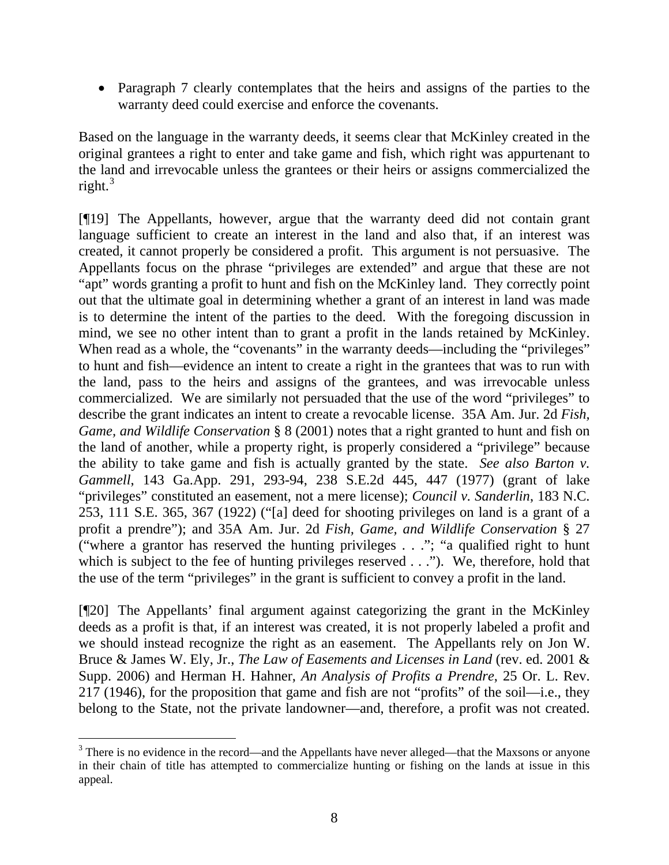• Paragraph 7 clearly contemplates that the heirs and assigns of the parties to the warranty deed could exercise and enforce the covenants.

Based on the language in the warranty deeds, it seems clear that McKinley created in the original grantees a right to enter and take game and fish, which right was appurtenant to the land and irrevocable unless the grantees or their heirs or assigns commercialized the right.<sup>[3](#page-8-0)</sup>

[¶19] The Appellants, however, argue that the warranty deed did not contain grant language sufficient to create an interest in the land and also that, if an interest was created, it cannot properly be considered a profit. This argument is not persuasive. The Appellants focus on the phrase "privileges are extended" and argue that these are not "apt" words granting a profit to hunt and fish on the McKinley land. They correctly point out that the ultimate goal in determining whether a grant of an interest in land was made is to determine the intent of the parties to the deed. With the foregoing discussion in mind, we see no other intent than to grant a profit in the lands retained by McKinley. When read as a whole, the "covenants" in the warranty deeds—including the "privileges" to hunt and fish—evidence an intent to create a right in the grantees that was to run with the land, pass to the heirs and assigns of the grantees, and was irrevocable unless commercialized. We are similarly not persuaded that the use of the word "privileges" to describe the grant indicates an intent to create a revocable license. 35A Am. Jur. 2d *Fish, Game, and Wildlife Conservation* § 8 (2001) notes that a right granted to hunt and fish on the land of another, while a property right, is properly considered a "privilege" because the ability to take game and fish is actually granted by the state. *See also Barton v. Gammell*, 143 Ga.App. 291, 293-94, 238 S.E.2d 445, 447 (1977) (grant of lake "privileges" constituted an easement, not a mere license); *Council v. Sanderlin*, 183 N.C. 253, 111 S.E. 365, 367 (1922) ("[a] deed for shooting privileges on land is a grant of a profit a prendre"); and 35A Am. Jur. 2d *Fish, Game, and Wildlife Conservation* § 27 ("where a grantor has reserved the hunting privileges . . ."; "a qualified right to hunt which is subject to the fee of hunting privileges reserved . . ."). We, therefore, hold that the use of the term "privileges" in the grant is sufficient to convey a profit in the land.

[¶20] The Appellants' final argument against categorizing the grant in the McKinley deeds as a profit is that, if an interest was created, it is not properly labeled a profit and we should instead recognize the right as an easement. The Appellants rely on Jon W. Bruce & James W. Ely, Jr., *The Law of Easements and Licenses in Land* (rev. ed. 2001 & Supp. 2006) and Herman H. Hahner, *An Analysis of Profits a Prendre*, 25 Or. L. Rev. 217 (1946), for the proposition that game and fish are not "profits" of the soil—i.e., they belong to the State, not the private landowner—and, therefore, a profit was not created.

<span id="page-8-0"></span> $\overline{a}$  $3$  There is no evidence in the record—and the Appellants have never alleged—that the Maxsons or anyone in their chain of title has attempted to commercialize hunting or fishing on the lands at issue in this appeal.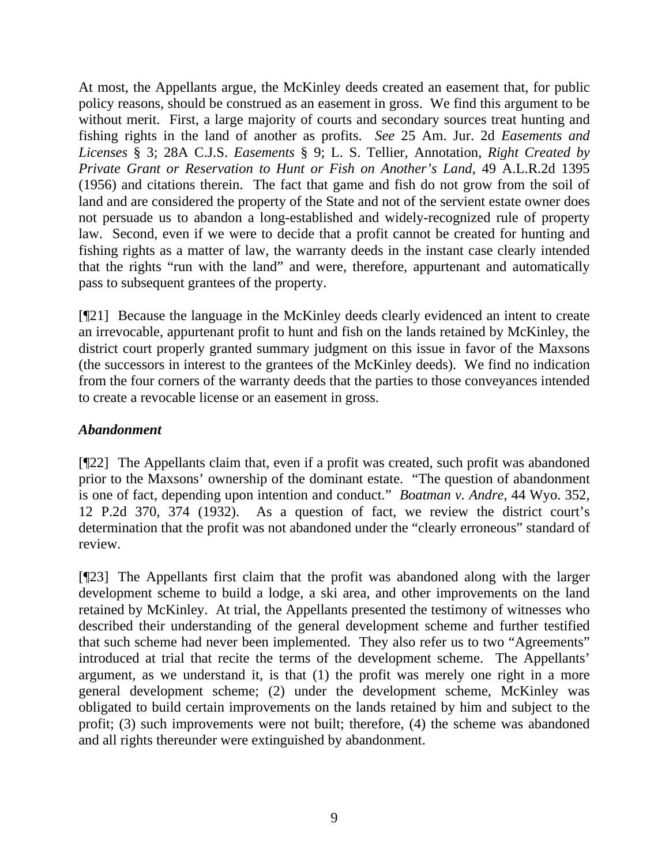At most, the Appellants argue, the McKinley deeds created an easement that, for public policy reasons, should be construed as an easement in gross. We find this argument to be without merit. First, a large majority of courts and secondary sources treat hunting and fishing rights in the land of another as profits. *See* 25 Am. Jur. 2d *Easements and Licenses* § 3; 28A C.J.S. *Easements* § 9; L. S. Tellier, Annotation, *Right Created by Private Grant or Reservation to Hunt or Fish on Another's Land*, 49 A.L.R.2d 1395 (1956) and citations therein. The fact that game and fish do not grow from the soil of land and are considered the property of the State and not of the servient estate owner does not persuade us to abandon a long-established and widely-recognized rule of property law. Second, even if we were to decide that a profit cannot be created for hunting and fishing rights as a matter of law, the warranty deeds in the instant case clearly intended that the rights "run with the land" and were, therefore, appurtenant and automatically pass to subsequent grantees of the property.

[¶21] Because the language in the McKinley deeds clearly evidenced an intent to create an irrevocable, appurtenant profit to hunt and fish on the lands retained by McKinley, the district court properly granted summary judgment on this issue in favor of the Maxsons (the successors in interest to the grantees of the McKinley deeds). We find no indication from the four corners of the warranty deeds that the parties to those conveyances intended to create a revocable license or an easement in gross.

# *Abandonment*

[¶22] The Appellants claim that, even if a profit was created, such profit was abandoned prior to the Maxsons' ownership of the dominant estate. "The question of abandonment is one of fact, depending upon intention and conduct." *Boatman v. Andre*, 44 Wyo. 352, 12 P.2d 370, 374 (1932). As a question of fact, we review the district court's determination that the profit was not abandoned under the "clearly erroneous" standard of review.

[¶23] The Appellants first claim that the profit was abandoned along with the larger development scheme to build a lodge, a ski area, and other improvements on the land retained by McKinley. At trial, the Appellants presented the testimony of witnesses who described their understanding of the general development scheme and further testified that such scheme had never been implemented. They also refer us to two "Agreements" introduced at trial that recite the terms of the development scheme. The Appellants' argument, as we understand it, is that (1) the profit was merely one right in a more general development scheme; (2) under the development scheme, McKinley was obligated to build certain improvements on the lands retained by him and subject to the profit; (3) such improvements were not built; therefore, (4) the scheme was abandoned and all rights thereunder were extinguished by abandonment.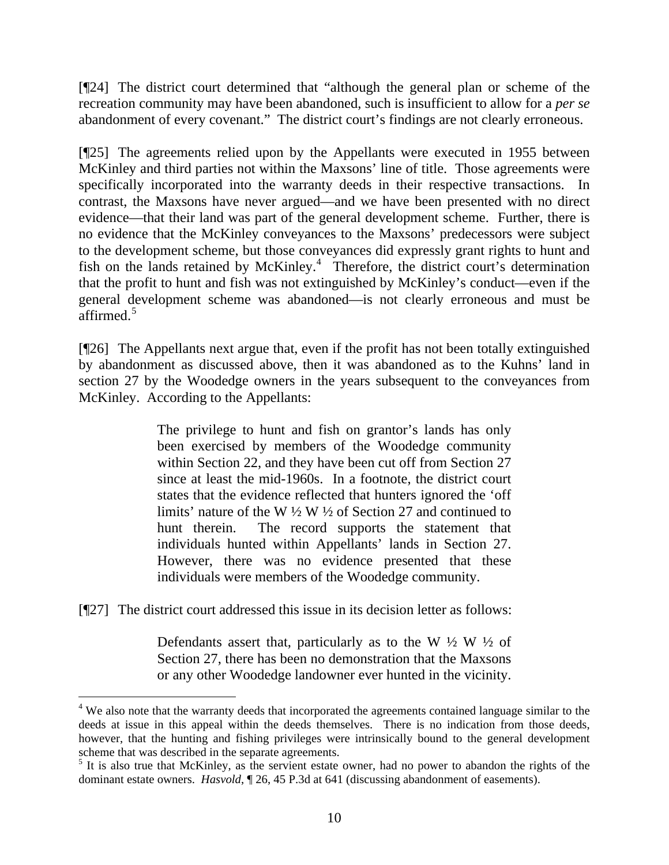[¶24] The district court determined that "although the general plan or scheme of the recreation community may have been abandoned, such is insufficient to allow for a *per se* abandonment of every covenant." The district court's findings are not clearly erroneous.

[¶25] The agreements relied upon by the Appellants were executed in 1955 between McKinley and third parties not within the Maxsons' line of title. Those agreements were specifically incorporated into the warranty deeds in their respective transactions. In contrast, the Maxsons have never argued—and we have been presented with no direct evidence—that their land was part of the general development scheme. Further, there is no evidence that the McKinley conveyances to the Maxsons' predecessors were subject to the development scheme, but those conveyances did expressly grant rights to hunt and fish on the lands retained by McKinley.<sup>[4](#page-10-0)</sup> Therefore, the district court's determination that the profit to hunt and fish was not extinguished by McKinley's conduct—even if the general development scheme was abandoned—is not clearly erroneous and must be affirmed.<sup>[5](#page-10-1)</sup>

[¶26] The Appellants next argue that, even if the profit has not been totally extinguished by abandonment as discussed above, then it was abandoned as to the Kuhns' land in section 27 by the Woodedge owners in the years subsequent to the conveyances from McKinley. According to the Appellants:

> The privilege to hunt and fish on grantor's lands has only been exercised by members of the Woodedge community within Section 22, and they have been cut off from Section 27 since at least the mid-1960s. In a footnote, the district court states that the evidence reflected that hunters ignored the 'off limits' nature of the W ½ W ½ of Section 27 and continued to hunt therein. The record supports the statement that individuals hunted within Appellants' lands in Section 27. However, there was no evidence presented that these individuals were members of the Woodedge community.

[¶27] The district court addressed this issue in its decision letter as follows:

 $\overline{a}$ 

Defendants assert that, particularly as to the W  $\frac{1}{2}$  W  $\frac{1}{2}$  of Section 27, there has been no demonstration that the Maxsons or any other Woodedge landowner ever hunted in the vicinity.

<span id="page-10-0"></span><sup>&</sup>lt;sup>4</sup> We also note that the warranty deeds that incorporated the agreements contained language similar to the deeds at issue in this appeal within the deeds themselves. There is no indication from those deeds, however, that the hunting and fishing privileges were intrinsically bound to the general development scheme that was described in the separate agreements.

<span id="page-10-1"></span><sup>&</sup>lt;sup>5</sup> It is also true that McKinley, as the servient estate owner, had no power to abandon the rights of the dominant estate owners. *Hasvold*,  $\sqrt{26}$ , 45 P.3d at 641 (discussing abandonment of easements).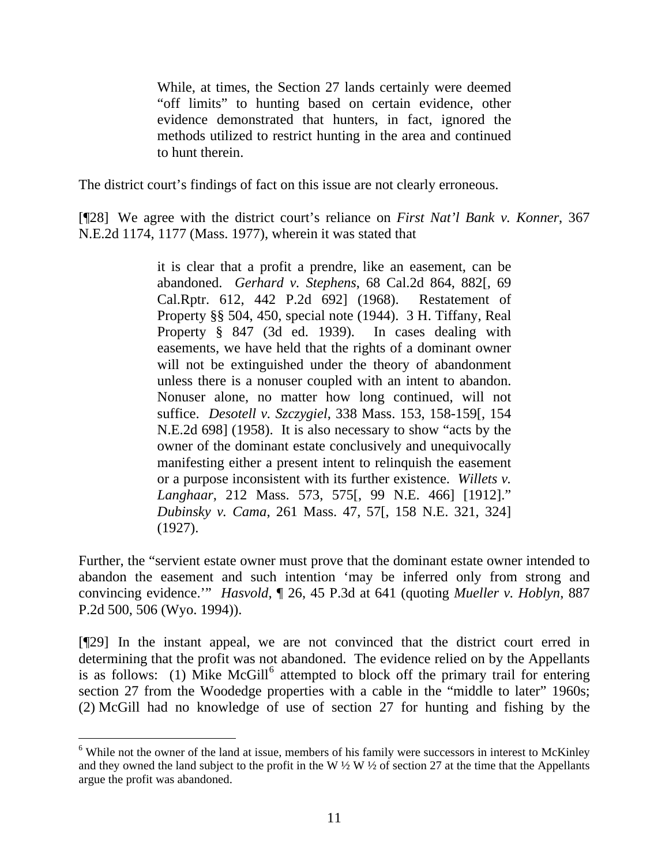While, at times, the Section 27 lands certainly were deemed "off limits" to hunting based on certain evidence, other evidence demonstrated that hunters, in fact, ignored the methods utilized to restrict hunting in the area and continued to hunt therein.

The district court's findings of fact on this issue are not clearly erroneous.

[¶28] We agree with the district court's reliance on *First Nat'l Bank v. Konner*, 367 N.E.2d 1174, 1177 (Mass. 1977), wherein it was stated that

> it is clear that a profit a prendre, like an easement, can be abandoned. *Gerhard v. Stephens*, 68 Cal.2d 864, 882[, 69 Cal.Rptr. 612, 442 P.2d 692] (1968). Restatement of Property §§ 504, 450, special note (1944). 3 H. Tiffany, Real Property § 847 (3d ed. 1939). In cases dealing with easements, we have held that the rights of a dominant owner will not be extinguished under the theory of abandonment unless there is a nonuser coupled with an intent to abandon. Nonuser alone, no matter how long continued, will not suffice. *Desotell v. Szczygiel*, 338 Mass. 153, 158-159[, 154 N.E.2d 698] (1958). It is also necessary to show "acts by the owner of the dominant estate conclusively and unequivocally manifesting either a present intent to relinquish the easement or a purpose inconsistent with its further existence. *Willets v. Langhaar*, 212 Mass. 573, 575[, 99 N.E. 466] [1912]." *Dubinsky v. Cama*, 261 Mass. 47, 57[, 158 N.E. 321, 324] (1927).

Further, the "servient estate owner must prove that the dominant estate owner intended to abandon the easement and such intention 'may be inferred only from strong and convincing evidence.'" *Hasvold*, ¶ 26, 45 P.3d at 641 (quoting *Mueller v. Hoblyn*, 887 P.2d 500, 506 (Wyo. 1994)).

[¶29] In the instant appeal, we are not convinced that the district court erred in determining that the profit was not abandoned. The evidence relied on by the Appellants is as follows: (1) Mike McGill<sup>[6](#page-11-0)</sup> attempted to block off the primary trail for entering section 27 from the Woodedge properties with a cable in the "middle to later" 1960s; (2) McGill had no knowledge of use of section 27 for hunting and fishing by the

 $\overline{a}$ 

<span id="page-11-0"></span><sup>&</sup>lt;sup>6</sup> While not the owner of the land at issue, members of his family were successors in interest to McKinley and they owned the land subject to the profit in the W  $\frac{1}{2}$  W  $\frac{1}{2}$  of section 27 at the time that the Appellants argue the profit was abandoned.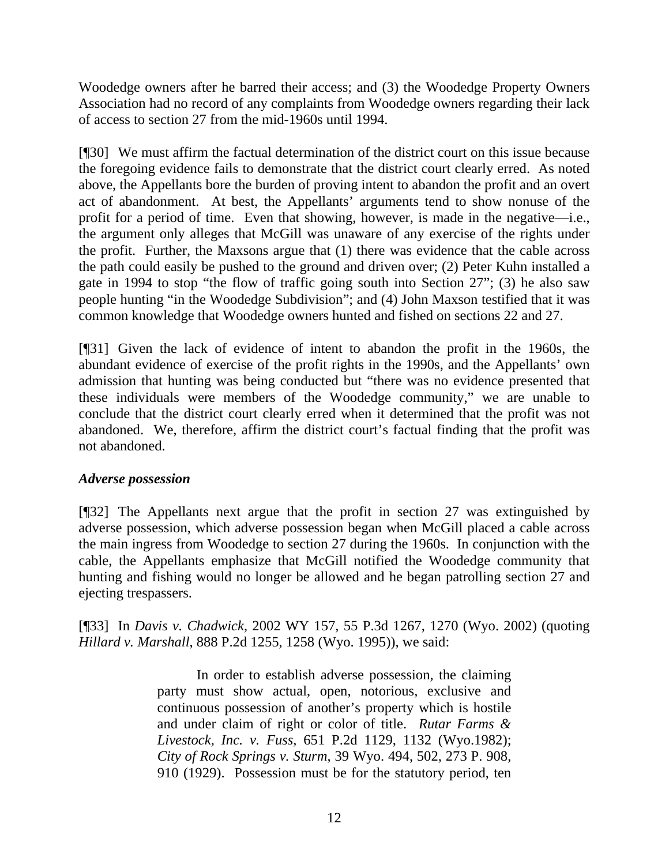Woodedge owners after he barred their access; and (3) the Woodedge Property Owners Association had no record of any complaints from Woodedge owners regarding their lack of access to section 27 from the mid-1960s until 1994.

[¶30] We must affirm the factual determination of the district court on this issue because the foregoing evidence fails to demonstrate that the district court clearly erred. As noted above, the Appellants bore the burden of proving intent to abandon the profit and an overt act of abandonment. At best, the Appellants' arguments tend to show nonuse of the profit for a period of time. Even that showing, however, is made in the negative—i.e., the argument only alleges that McGill was unaware of any exercise of the rights under the profit. Further, the Maxsons argue that (1) there was evidence that the cable across the path could easily be pushed to the ground and driven over; (2) Peter Kuhn installed a gate in 1994 to stop "the flow of traffic going south into Section 27"; (3) he also saw people hunting "in the Woodedge Subdivision"; and (4) John Maxson testified that it was common knowledge that Woodedge owners hunted and fished on sections 22 and 27.

[¶31] Given the lack of evidence of intent to abandon the profit in the 1960s, the abundant evidence of exercise of the profit rights in the 1990s, and the Appellants' own admission that hunting was being conducted but "there was no evidence presented that these individuals were members of the Woodedge community," we are unable to conclude that the district court clearly erred when it determined that the profit was not abandoned. We, therefore, affirm the district court's factual finding that the profit was not abandoned.

## *Adverse possession*

[¶32] The Appellants next argue that the profit in section 27 was extinguished by adverse possession, which adverse possession began when McGill placed a cable across the main ingress from Woodedge to section 27 during the 1960s. In conjunction with the cable, the Appellants emphasize that McGill notified the Woodedge community that hunting and fishing would no longer be allowed and he began patrolling section 27 and ejecting trespassers.

[¶33] In *Davis v. Chadwick*, 2002 WY 157, 55 P.3d 1267, 1270 (Wyo. 2002) (quoting *Hillard v. Marshall*, 888 P.2d 1255, 1258 (Wyo. 1995)), we said:

> In order to establish adverse possession, the claiming party must show actual, open, notorious, exclusive and continuous possession of another's property which is hostile and under claim of right or color of title. *Rutar Farms & Livestock, Inc. v. Fuss*, 651 P.2d 1129, 1132 (Wyo.1982); *City of Rock Springs v. Sturm*, 39 Wyo. 494, 502, 273 P. 908, 910 (1929). Possession must be for the statutory period, ten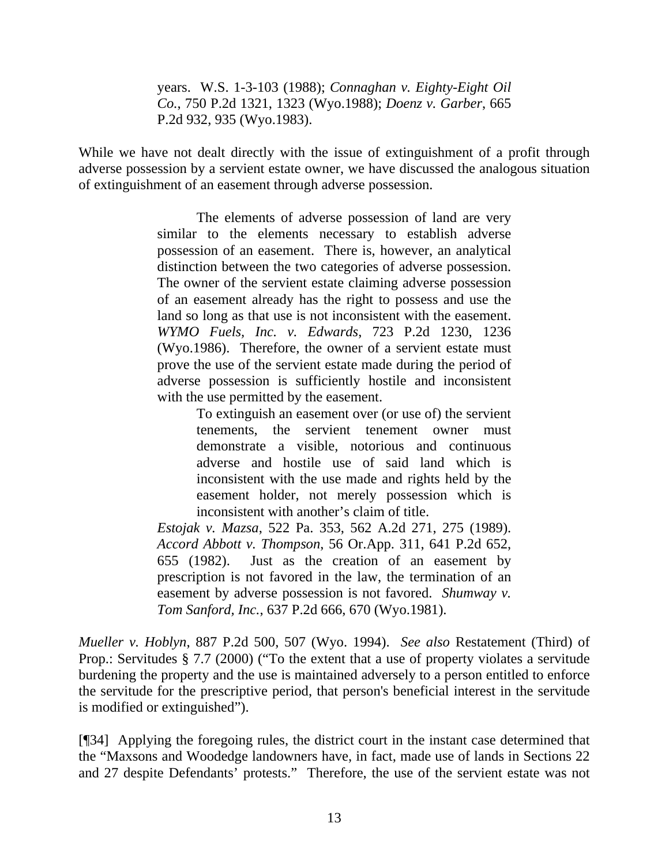years. W.S. 1-3-103 (1988); *Connaghan v. Eighty-Eight Oil Co.*, 750 P.2d 1321, 1323 (Wyo.1988); *Doenz v. Garber*, 665 P.2d 932, 935 (Wyo.1983).

While we have not dealt directly with the issue of extinguishment of a profit through adverse possession by a servient estate owner, we have discussed the analogous situation of extinguishment of an easement through adverse possession.

> The elements of adverse possession of land are very similar to the elements necessary to establish adverse possession of an easement. There is, however, an analytical distinction between the two categories of adverse possession. The owner of the servient estate claiming adverse possession of an easement already has the right to possess and use the land so long as that use is not inconsistent with the easement. *WYMO Fuels, Inc. v. Edwards*, 723 P.2d 1230, 1236 (Wyo.1986). Therefore, the owner of a servient estate must prove the use of the servient estate made during the period of adverse possession is sufficiently hostile and inconsistent with the use permitted by the easement.

> > To extinguish an easement over (or use of) the servient tenements, the servient tenement owner must demonstrate a visible, notorious and continuous adverse and hostile use of said land which is inconsistent with the use made and rights held by the easement holder, not merely possession which is inconsistent with another's claim of title.

*Estojak v. Mazsa*, 522 Pa. 353, 562 A.2d 271, 275 (1989). *Accord Abbott v. Thompson*, 56 Or.App. 311, 641 P.2d 652, 655 (1982). Just as the creation of an easement by prescription is not favored in the law, the termination of an easement by adverse possession is not favored. *Shumway v. Tom Sanford, Inc.*, 637 P.2d 666, 670 (Wyo.1981).

*Mueller v. Hoblyn*, 887 P.2d 500, 507 (Wyo. 1994). *See also* Restatement (Third) of Prop.: Servitudes § 7.7 (2000) ("To the extent that a use of property violates a servitude burdening the property and the use is maintained adversely to a person entitled to enforce the servitude for the prescriptive period, that person's beneficial interest in the servitude is modified or extinguished").

[¶34] Applying the foregoing rules, the district court in the instant case determined that the "Maxsons and Woodedge landowners have, in fact, made use of lands in Sections 22 and 27 despite Defendants' protests." Therefore, the use of the servient estate was not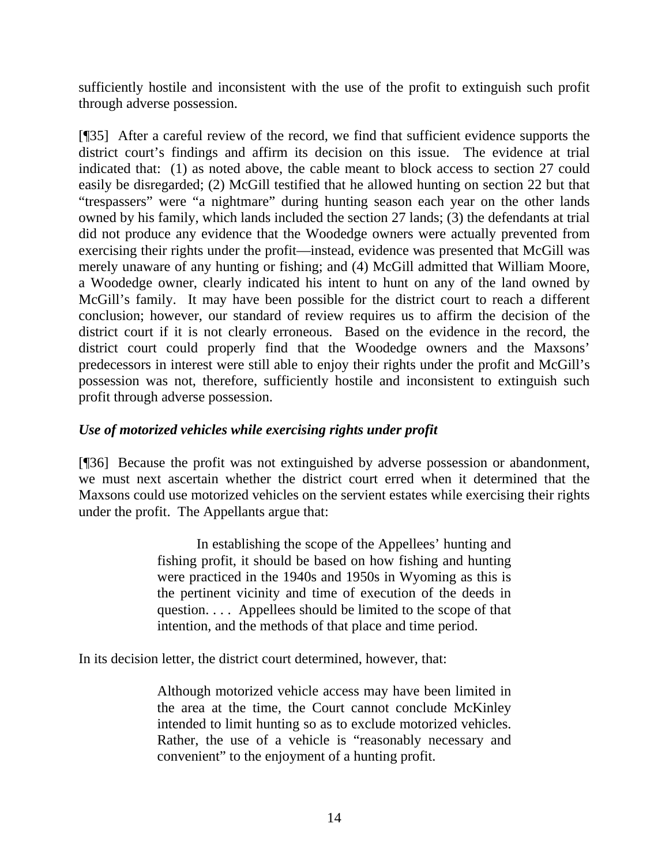sufficiently hostile and inconsistent with the use of the profit to extinguish such profit through adverse possession.

[¶35] After a careful review of the record, we find that sufficient evidence supports the district court's findings and affirm its decision on this issue. The evidence at trial indicated that: (1) as noted above, the cable meant to block access to section 27 could easily be disregarded; (2) McGill testified that he allowed hunting on section 22 but that "trespassers" were "a nightmare" during hunting season each year on the other lands owned by his family, which lands included the section 27 lands; (3) the defendants at trial did not produce any evidence that the Woodedge owners were actually prevented from exercising their rights under the profit—instead, evidence was presented that McGill was merely unaware of any hunting or fishing; and (4) McGill admitted that William Moore, a Woodedge owner, clearly indicated his intent to hunt on any of the land owned by McGill's family. It may have been possible for the district court to reach a different conclusion; however, our standard of review requires us to affirm the decision of the district court if it is not clearly erroneous. Based on the evidence in the record, the district court could properly find that the Woodedge owners and the Maxsons' predecessors in interest were still able to enjoy their rights under the profit and McGill's possession was not, therefore, sufficiently hostile and inconsistent to extinguish such profit through adverse possession.

## *Use of motorized vehicles while exercising rights under profit*

[¶36] Because the profit was not extinguished by adverse possession or abandonment, we must next ascertain whether the district court erred when it determined that the Maxsons could use motorized vehicles on the servient estates while exercising their rights under the profit. The Appellants argue that:

> In establishing the scope of the Appellees' hunting and fishing profit, it should be based on how fishing and hunting were practiced in the 1940s and 1950s in Wyoming as this is the pertinent vicinity and time of execution of the deeds in question. . . . Appellees should be limited to the scope of that intention, and the methods of that place and time period.

In its decision letter, the district court determined, however, that:

Although motorized vehicle access may have been limited in the area at the time, the Court cannot conclude McKinley intended to limit hunting so as to exclude motorized vehicles. Rather, the use of a vehicle is "reasonably necessary and convenient" to the enjoyment of a hunting profit.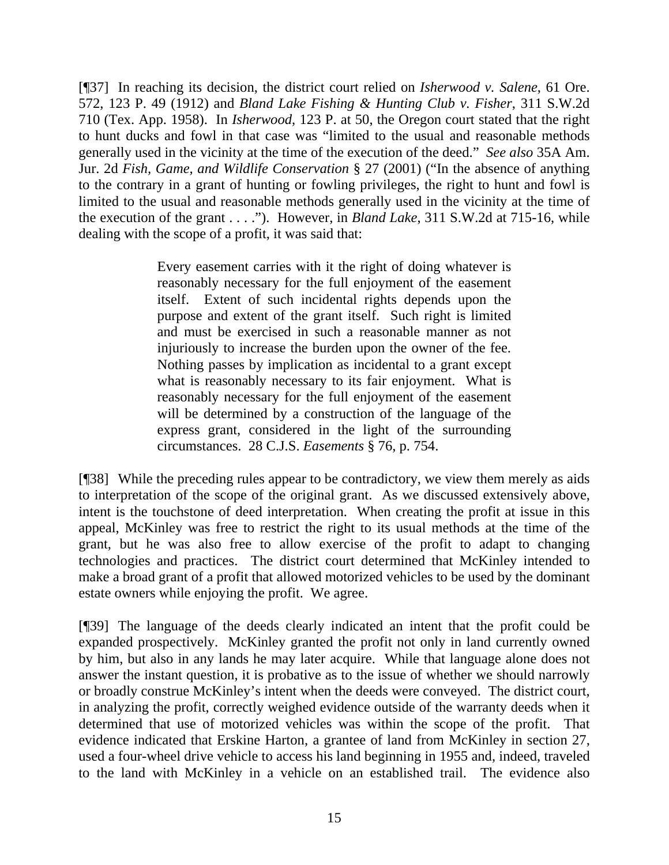[¶37] In reaching its decision, the district court relied on *Isherwood v. Salene*, 61 Ore. 572, 123 P. 49 (1912) and *Bland Lake Fishing & Hunting Club v. Fisher*, 311 S.W.2d 710 (Tex. App. 1958). In *Isherwood*, 123 P. at 50, the Oregon court stated that the right to hunt ducks and fowl in that case was "limited to the usual and reasonable methods generally used in the vicinity at the time of the execution of the deed." *See also* 35A Am. Jur. 2d *Fish, Game, and Wildlife Conservation* § 27 (2001) ("In the absence of anything to the contrary in a grant of hunting or fowling privileges, the right to hunt and fowl is limited to the usual and reasonable methods generally used in the vicinity at the time of the execution of the grant . . . ."). However, in *Bland Lake*, 311 S.W.2d at 715-16, while dealing with the scope of a profit, it was said that:

> Every easement carries with it the right of doing whatever is reasonably necessary for the full enjoyment of the easement itself. Extent of such incidental rights depends upon the purpose and extent of the grant itself. Such right is limited and must be exercised in such a reasonable manner as not injuriously to increase the burden upon the owner of the fee. Nothing passes by implication as incidental to a grant except what is reasonably necessary to its fair enjoyment. What is reasonably necessary for the full enjoyment of the easement will be determined by a construction of the language of the express grant, considered in the light of the surrounding circumstances. 28 C.J.S. *Easements* § 76, p. 754.

[¶38] While the preceding rules appear to be contradictory, we view them merely as aids to interpretation of the scope of the original grant. As we discussed extensively above, intent is the touchstone of deed interpretation. When creating the profit at issue in this appeal, McKinley was free to restrict the right to its usual methods at the time of the grant, but he was also free to allow exercise of the profit to adapt to changing technologies and practices. The district court determined that McKinley intended to make a broad grant of a profit that allowed motorized vehicles to be used by the dominant estate owners while enjoying the profit. We agree.

[¶39] The language of the deeds clearly indicated an intent that the profit could be expanded prospectively. McKinley granted the profit not only in land currently owned by him, but also in any lands he may later acquire. While that language alone does not answer the instant question, it is probative as to the issue of whether we should narrowly or broadly construe McKinley's intent when the deeds were conveyed. The district court, in analyzing the profit, correctly weighed evidence outside of the warranty deeds when it determined that use of motorized vehicles was within the scope of the profit. That evidence indicated that Erskine Harton, a grantee of land from McKinley in section 27, used a four-wheel drive vehicle to access his land beginning in 1955 and, indeed, traveled to the land with McKinley in a vehicle on an established trail. The evidence also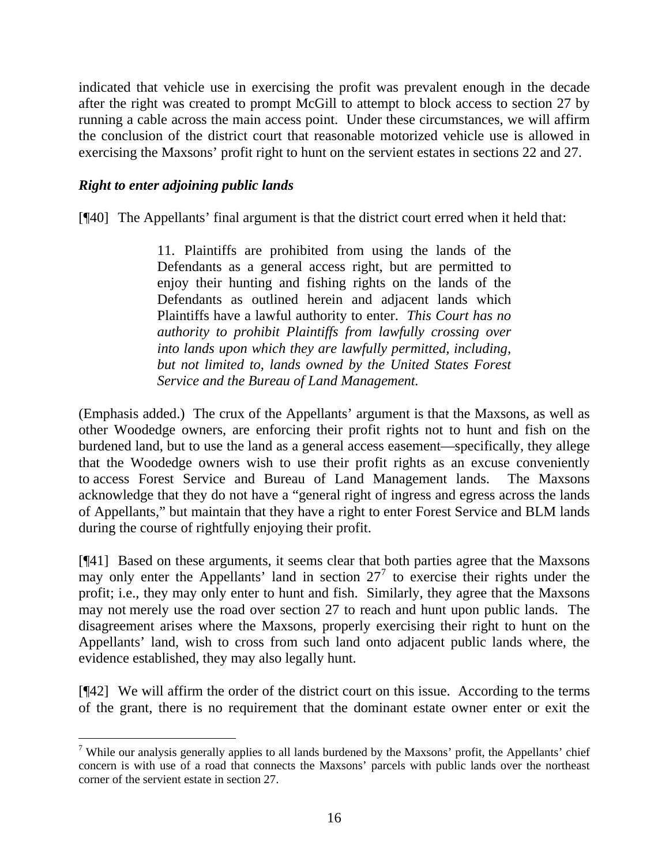indicated that vehicle use in exercising the profit was prevalent enough in the decade after the right was created to prompt McGill to attempt to block access to section 27 by running a cable across the main access point. Under these circumstances, we will affirm the conclusion of the district court that reasonable motorized vehicle use is allowed in exercising the Maxsons' profit right to hunt on the servient estates in sections 22 and 27.

## *Right to enter adjoining public lands*

 $\overline{a}$ 

[¶40] The Appellants' final argument is that the district court erred when it held that:

11. Plaintiffs are prohibited from using the lands of the Defendants as a general access right, but are permitted to enjoy their hunting and fishing rights on the lands of the Defendants as outlined herein and adjacent lands which Plaintiffs have a lawful authority to enter. *This Court has no authority to prohibit Plaintiffs from lawfully crossing over into lands upon which they are lawfully permitted, including, but not limited to, lands owned by the United States Forest Service and the Bureau of Land Management.*

(Emphasis added.) The crux of the Appellants' argument is that the Maxsons, as well as other Woodedge owners, are enforcing their profit rights not to hunt and fish on the burdened land, but to use the land as a general access easement—specifically, they allege that the Woodedge owners wish to use their profit rights as an excuse conveniently to access Forest Service and Bureau of Land Management lands. The Maxsons acknowledge that they do not have a "general right of ingress and egress across the lands of Appellants," but maintain that they have a right to enter Forest Service and BLM lands during the course of rightfully enjoying their profit.

[¶41] Based on these arguments, it seems clear that both parties agree that the Maxsons may only enter the Appellants' land in section  $27<sup>7</sup>$  $27<sup>7</sup>$  $27<sup>7</sup>$  to exercise their rights under the profit; i.e., they may only enter to hunt and fish. Similarly, they agree that the Maxsons may not merely use the road over section 27 to reach and hunt upon public lands. The disagreement arises where the Maxsons, properly exercising their right to hunt on the Appellants' land, wish to cross from such land onto adjacent public lands where, the evidence established, they may also legally hunt.

[¶42] We will affirm the order of the district court on this issue. According to the terms of the grant, there is no requirement that the dominant estate owner enter or exit the

<span id="page-16-0"></span><sup>&</sup>lt;sup>7</sup> While our analysis generally applies to all lands burdened by the Maxsons' profit, the Appellants' chief concern is with use of a road that connects the Maxsons' parcels with public lands over the northeast corner of the servient estate in section 27.